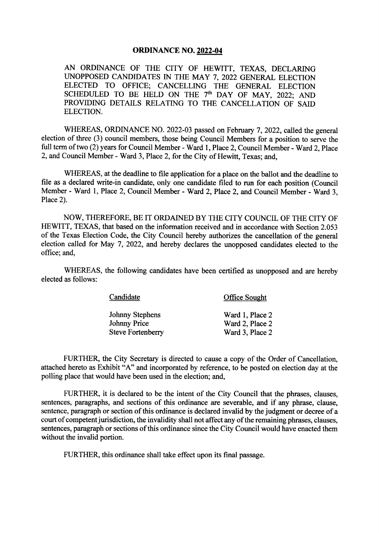#### **ORDINANCE NO. 2022-04**

AN ORDINANCE OF THE CITY OF HEWITT, TEXAS, DECLARING UNOPPOSED CANDIDATES IN THE MAY 7, 2022 GENERAL ELECTION ELECTED TO OFFICE; CANCELLING THE GENERAL ELECTION SCHEDULED TO BE HELD ON THE  $7<sup>th</sup>$  DAY OF MAY, 2022; AND PROVIDING DETAILS RELATING TO THE CANCELLATION OF SAID ELECTION.

WHEREAS, ORDINANCE NO. 2022-03 passed on February 7, 2022, called the general election of three (3) council members, those being Council Members for a position to serve the full term of two (2) years for Council Member - Ward 1, Place 2, Council Member - Ward 2, Place 2, and Council Member- Ward 3, Place 2, for the City of Hewitt, Texas; and,

WHEREAS, at the deadline to file application for a place on the ballot and the deadline to file as a declared write-in candidate, only one candidate filed to run for each position (Council Member - Ward 1, Place 2, Council Member - Ward 2, Place 2, and Council Member - Ward 3, Place 2).

NOW, THEREFORE, BE IT ORDAINED BY THE CITY COUNCIL OF THE CITY OF HEWITT, TEXAS, that based on the information received and in accordance with Section 2. 053 of the Texas Election Code, the City Council hereby authorizes the cancellation of the general election called for May 7, 2022, and hereby declares the unopposed candidates elected to the office; and,

WHEREAS, the following candidates have been certified as unopposed and are hereby elected as follows:

| Candidate                | <b>Office Sought</b> |
|--------------------------|----------------------|
| Johnny Stephens          | Ward 1, Place 2      |
| Johnny Price             | Ward 2, Place 2      |
| <b>Steve Fortenberry</b> | Ward 3, Place 2      |

FURTHER, the City Secretary is directed to cause <sup>a</sup> copy of the Order of Cancellation, attached hereto as Exhibit "A" and incorporated by reference, to be posted on election day at the polling place that would have been used in the election; and,

FURTHER, it is declared to be the intent of the City Council that the phrases, clauses, sentences, paragraphs, and sections of this ordinance are severable, and if any phrase, clause, sentence, paragraph or section of this ordinance is declared invalid by the judgment or decree of a court of competent jurisdiction, the invalidity shall not affect any of the remaining phrases, clauses, sentences, paragraph or sections of this ordinance since the City Council would have enacted them without the invalid portion.

FURTHER, this ordinance shall take effect upon its final passage.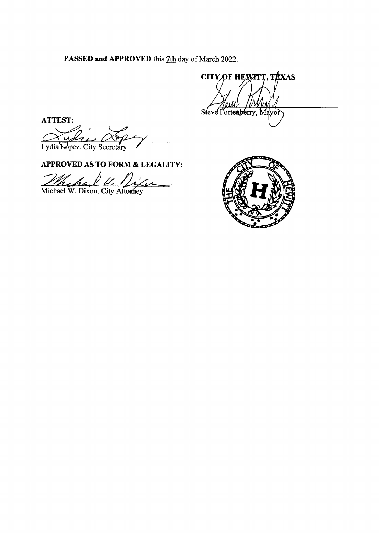PASSED and APPROVED this 7th day of March 2022.

CITY OF HEWITT, TEXAS Steve Fortemberry, Mayor

ATTEST:

Lydia Lopez, City Secretary

APPROVED AS TO FORM & LEGALITY:

 $\sim$   $\epsilon$ 

Mehal V. Dix<br>Michael W. Dixon, City Attorney Vien

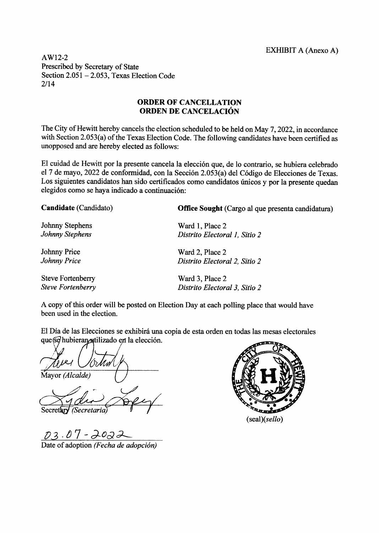AW12-2 Prescribed by Secretary of State Section  $2.051 - 2.053$ , Texas Election Code  $2/14$ 

# ORDER OF CANCELLATION ORDEN DE CANCELACION

The City of Hewitt hereby cancels the election scheduled to be held on May 7, 2022, in accordance with Section 2.053(a) of the Texas Election Code. The following candidates have been certified as unopposed and are hereby elected as follows:

El cuidad de Hewitt por la presente cancela la elección que, de lo contrario, se hubiera celebrado el 7 de mayo, 2022 de conformidad, con la Sección 2.053(a) del Código de Elecciones de Texas. Los siguientes candidatos han sido certificados como candidatos únicos y por la presente quedan elegidos como se haya indicado a continuacion:

| Candidate (Candidato)    | Office Sought (Cargo al que presenta candidatura) |
|--------------------------|---------------------------------------------------|
| Johnny Stephens          | Ward 1, Place 2                                   |
| Johnny Stephens          | Distrito Electoral 1, Sitio 2                     |
| <b>Johnny Price</b>      | Ward 2, Place 2                                   |
| <b>Johnny Price</b>      | Distrito Electoral 2, Sitio 2                     |
| <b>Steve Fortenberry</b> | Ward 3, Place 2                                   |
| <b>Steve Fortenberry</b> | Distrito Electoral 3, Sitio 2                     |
|                          |                                                   |

A copy of this order will be posted on Election Day at each polling place that would have been used in the election.

El Dia de las Elecciones se exhibira una copia de esta orden en todas las mesas electorales que se hubieran atilizado en la elección.

Mayor (Alcalde)

Secretary (Secretaria)

03.07-2022

Date of adoption (Fecha de adopción)